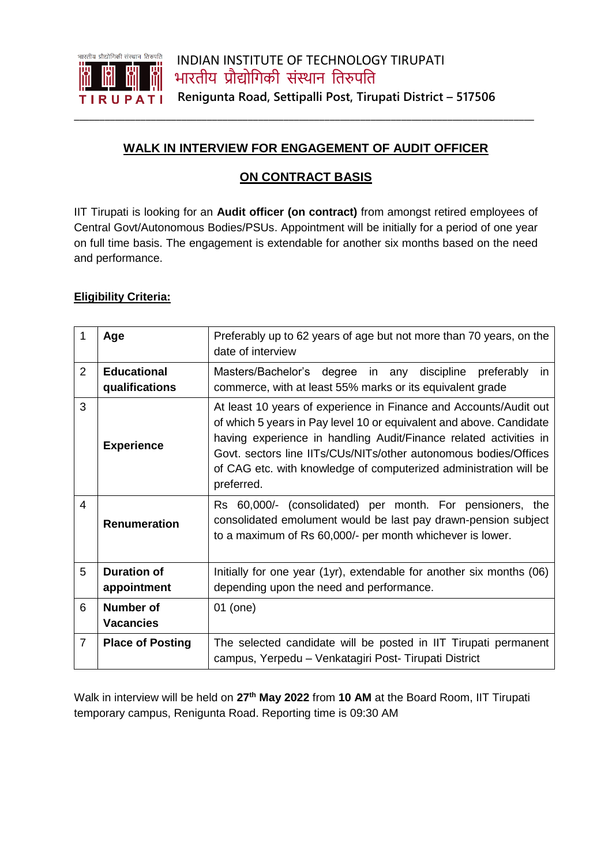

## **WALK IN INTERVIEW FOR ENGAGEMENT OF AUDIT OFFICER**

**\_\_\_\_\_\_\_\_\_\_\_\_\_\_\_\_\_\_\_\_\_\_\_\_\_\_\_\_\_\_\_\_\_\_\_\_\_\_\_\_\_\_\_\_\_\_\_\_\_\_\_\_\_\_\_\_\_\_\_\_\_\_\_\_\_\_\_\_\_\_\_\_\_\_\_\_\_\_\_\_\_\_\_\_\_\_\_\_\_\_**

## **ON CONTRACT BASIS**

IIT Tirupati is looking for an **Audit officer (on contract)** from amongst retired employees of Central Govt/Autonomous Bodies/PSUs. Appointment will be initially for a period of one year on full time basis. The engagement is extendable for another six months based on the need and performance.

## **Eligibility Criteria:**

| 1                       | Age                                  | Preferably up to 62 years of age but not more than 70 years, on the<br>date of interview                                                                                                                                                                                                                                                                             |
|-------------------------|--------------------------------------|----------------------------------------------------------------------------------------------------------------------------------------------------------------------------------------------------------------------------------------------------------------------------------------------------------------------------------------------------------------------|
| 2                       | <b>Educational</b><br>qualifications | Masters/Bachelor's degree in any<br>discipline preferably<br>in.<br>commerce, with at least 55% marks or its equivalent grade                                                                                                                                                                                                                                        |
| 3                       | <b>Experience</b>                    | At least 10 years of experience in Finance and Accounts/Audit out<br>of which 5 years in Pay level 10 or equivalent and above. Candidate<br>having experience in handling Audit/Finance related activities in<br>Govt. sectors line IITs/CUs/NITs/other autonomous bodies/Offices<br>of CAG etc. with knowledge of computerized administration will be<br>preferred. |
| $\overline{\mathbf{4}}$ | <b>Renumeration</b>                  | Rs 60,000/- (consolidated) per month. For pensioners, the<br>consolidated emolument would be last pay drawn-pension subject<br>to a maximum of Rs 60,000/- per month whichever is lower.                                                                                                                                                                             |
| 5                       | <b>Duration of</b><br>appointment    | Initially for one year (1yr), extendable for another six months (06)<br>depending upon the need and performance.                                                                                                                                                                                                                                                     |
| 6                       | <b>Number of</b><br><b>Vacancies</b> | 01 (one)                                                                                                                                                                                                                                                                                                                                                             |
| $\overline{7}$          | <b>Place of Posting</b>              | The selected candidate will be posted in IIT Tirupati permanent<br>campus, Yerpedu - Venkatagiri Post- Tirupati District                                                                                                                                                                                                                                             |

Walk in interview will be held on **27th May 2022** from **10 AM** at the Board Room, IIT Tirupati temporary campus, Renigunta Road. Reporting time is 09:30 AM